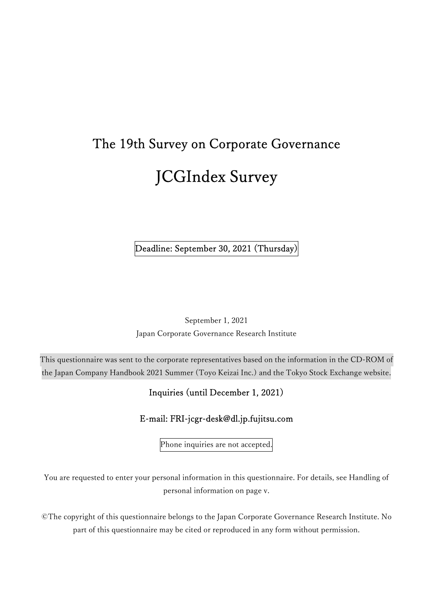# The 19th Survey on Corporate Governance JCGIndex Survey

Deadline: September 30, 2021 (Thursday)

September 1, 2021 Japan Corporate Governance Research Institute

This questionnaire was sent to the corporate representatives based on the information in the CD-ROM of the Japan Company Handbook 2021 Summer (Toyo Keizai Inc.) and the Tokyo Stock Exchange website.

# Inquiries (until December 1, 2021)

# E-mail: FRI-jcgr-desk@dl.jp.fujitsu.com

Phone inquiries are not accepted.

You are requested to enter your personal information in this questionnaire. For details, see Handling of personal information on page v.

©The copyright of this questionnaire belongs to the Japan Corporate Governance Research Institute. No part of this questionnaire may be cited or reproduced in any form without permission.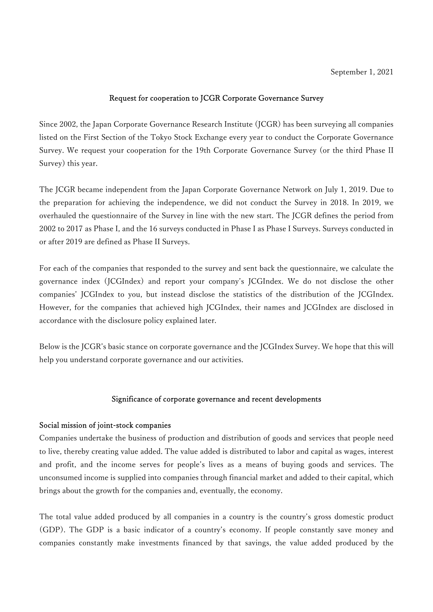## Request for cooperation to JCGR Corporate Governance Survey

Since 2002, the Japan Corporate Governance Research Institute (JCGR) has been surveying all companies listed on the First Section of the Tokyo Stock Exchange every year to conduct the Corporate Governance Survey. We request your cooperation for the 19th Corporate Governance Survey (or the third Phase II Survey) this year.

The JCGR became independent from the Japan Corporate Governance Network on July 1, 2019. Due to the preparation for achieving the independence, we did not conduct the Survey in 2018. In 2019, we overhauled the questionnaire of the Survey in line with the new start. The JCGR defines the period from 2002 to 2017 as Phase I, and the 16 surveys conducted in Phase I as Phase I Surveys. Surveys conducted in or after 2019 are defined as Phase II Surveys.

For each of the companies that responded to the survey and sent back the questionnaire, we calculate the governance index (JCGIndex) and report your company's JCGIndex. We do not disclose the other companies' JCGIndex to you, but instead disclose the statistics of the distribution of the JCGIndex. However, for the companies that achieved high JCGIndex, their names and JCGIndex are disclosed in accordance with the disclosure policy explained later.

Below is the JCGR's basic stance on corporate governance and the JCGIndex Survey. We hope that this will help you understand corporate governance and our activities.

#### Significance of corporate governance and recent developments

## Social mission of joint-stock companies

Companies undertake the business of production and distribution of goods and services that people need to live, thereby creating value added. The value added is distributed to labor and capital as wages, interest and profit, and the income serves for people's lives as a means of buying goods and services. The unconsumed income is supplied into companies through financial market and added to their capital, which brings about the growth for the companies and, eventually, the economy.

The total value added produced by all companies in a country is the country's gross domestic product (GDP). The GDP is a basic indicator of a country's economy. If people constantly save money and companies constantly make investments financed by that savings, the value added produced by the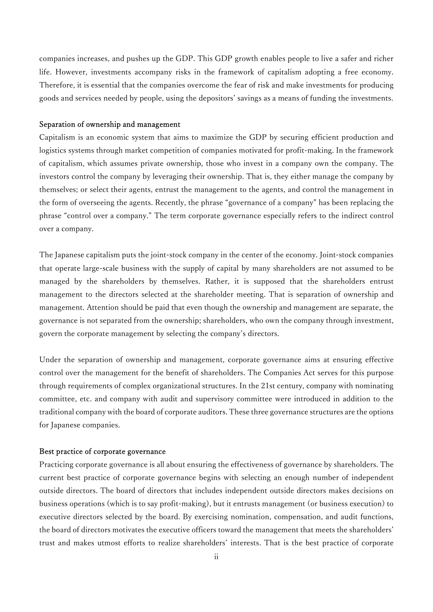companies increases, and pushes up the GDP. This GDP growth enables people to live a safer and richer life. However, investments accompany risks in the framework of capitalism adopting a free economy. Therefore, it is essential that the companies overcome the fear of risk and make investments for producing goods and services needed by people, using the depositors' savings as a means of funding the investments.

#### Separation of ownership and management

Capitalism is an economic system that aims to maximize the GDP by securing efficient production and logistics systems through market competition of companies motivated for profit-making. In the framework of capitalism, which assumes private ownership, those who invest in a company own the company. The investors control the company by leveraging their ownership. That is, they either manage the company by themselves; or select their agents, entrust the management to the agents, and control the management in the form of overseeing the agents. Recently, the phrase "governance of a company" has been replacing the phrase "control over a company." The term corporate governance especially refers to the indirect control over a company.

The Japanese capitalism puts the joint-stock company in the center of the economy. Joint-stock companies that operate large-scale business with the supply of capital by many shareholders are not assumed to be managed by the shareholders by themselves. Rather, it is supposed that the shareholders entrust management to the directors selected at the shareholder meeting. That is separation of ownership and management. Attention should be paid that even though the ownership and management are separate, the governance is not separated from the ownership; shareholders, who own the company through investment, govern the corporate management by selecting the company's directors.

Under the separation of ownership and management, corporate governance aims at ensuring effective control over the management for the benefit of shareholders. The Companies Act serves for this purpose through requirements of complex organizational structures. In the 21st century, company with nominating committee, etc. and company with audit and supervisory committee were introduced in addition to the traditional company with the board of corporate auditors. These three governance structures are the options for Japanese companies.

#### Best practice of corporate governance

Practicing corporate governance is all about ensuring the effectiveness of governance by shareholders. The current best practice of corporate governance begins with selecting an enough number of independent outside directors. The board of directors that includes independent outside directors makes decisions on business operations (which is to say profit-making), but it entrusts management (or business execution) to executive directors selected by the board. By exercising nomination, compensation, and audit functions, the board of directors motivates the executive officers toward the management that meets the shareholders' trust and makes utmost efforts to realize shareholders' interests. That is the best practice of corporate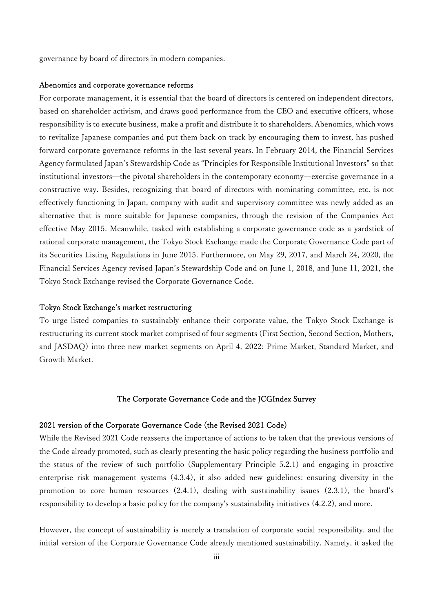governance by board of directors in modern companies.

## Abenomics and corporate governance reforms

For corporate management, it is essential that the board of directors is centered on independent directors, based on shareholder activism, and draws good performance from the CEO and executive officers, whose responsibility is to execute business, make a profit and distribute it to shareholders. Abenomics, which vows to revitalize Japanese companies and put them back on track by encouraging them to invest, has pushed forward corporate governance reforms in the last several years. In February 2014, the Financial Services Agency formulated Japan's Stewardship Code as "Principles for Responsible Institutional Investors" so that institutional investors—the pivotal shareholders in the contemporary economy—exercise governance in a constructive way. Besides, recognizing that board of directors with nominating committee, etc. is not effectively functioning in Japan, company with audit and supervisory committee was newly added as an alternative that is more suitable for Japanese companies, through the revision of the Companies Act effective May 2015. Meanwhile, tasked with establishing a corporate governance code as a yardstick of rational corporate management, the Tokyo Stock Exchange made the Corporate Governance Code part of its Securities Listing Regulations in June 2015. Furthermore, on May 29, 2017, and March 24, 2020, the Financial Services Agency revised Japan's Stewardship Code and on June 1, 2018, and June 11, 2021, the Tokyo Stock Exchange revised the Corporate Governance Code.

## Tokyo Stock Exchange's market restructuring

To urge listed companies to sustainably enhance their corporate value, the Tokyo Stock Exchange is restructuring its current stock market comprised of four segments (First Section, Second Section, Mothers, and JASDAQ) into three new market segments on April 4, 2022: Prime Market, Standard Market, and Growth Market.

#### The Corporate Governance Code and the JCGIndex Survey

#### 2021 version of the Corporate Governance Code (the Revised 2021 Code)

While the Revised 2021 Code reasserts the importance of actions to be taken that the previous versions of the Code already promoted, such as clearly presenting the basic policy regarding the business portfolio and the status of the review of such portfolio (Supplementary Principle 5.2.1) and engaging in proactive enterprise risk management systems (4.3.4), it also added new guidelines: ensuring diversity in the promotion to core human resources (2.4.1), dealing with sustainability issues (2.3.1), the board's responsibility to develop a basic policy for the company's sustainability initiatives (4.2.2), and more.

However, the concept of sustainability is merely a translation of corporate social responsibility, and the initial version of the Corporate Governance Code already mentioned sustainability. Namely, it asked the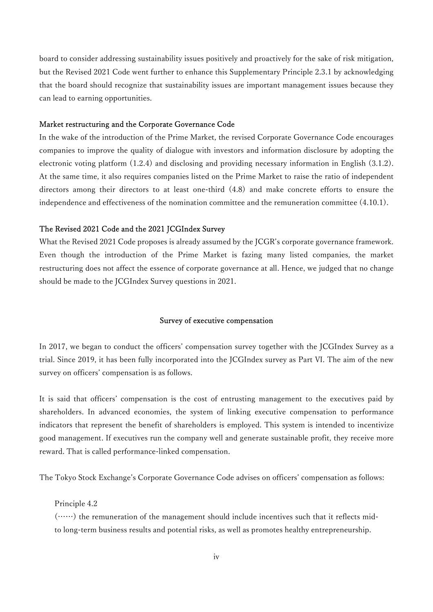board to consider addressing sustainability issues positively and proactively for the sake of risk mitigation, but the Revised 2021 Code went further to enhance this Supplementary Principle 2.3.1 by acknowledging that the board should recognize that sustainability issues are important management issues because they can lead to earning opportunities.

#### Market restructuring and the Corporate Governance Code

In the wake of the introduction of the Prime Market, the revised Corporate Governance Code encourages companies to improve the quality of dialogue with investors and information disclosure by adopting the electronic voting platform (1.2.4) and disclosing and providing necessary information in English (3.1.2). At the same time, it also requires companies listed on the Prime Market to raise the ratio of independent directors among their directors to at least one-third (4.8) and make concrete efforts to ensure the independence and effectiveness of the nomination committee and the remuneration committee (4.10.1).

#### The Revised 2021 Code and the 2021 JCGIndex Survey

What the Revised 2021 Code proposes is already assumed by the JCGR's corporate governance framework. Even though the introduction of the Prime Market is fazing many listed companies, the market restructuring does not affect the essence of corporate governance at all. Hence, we judged that no change should be made to the JCGIndex Survey questions in 2021.

#### Survey of executive compensation

In 2017, we began to conduct the officers' compensation survey together with the JCGIndex Survey as a trial. Since 2019, it has been fully incorporated into the JCGIndex survey as Part Ⅵ. The aim of the new survey on officers' compensation is as follows.

It is said that officers' compensation is the cost of entrusting management to the executives paid by shareholders. In advanced economies, the system of linking executive compensation to performance indicators that represent the benefit of shareholders is employed. This system is intended to incentivize good management. If executives run the company well and generate sustainable profit, they receive more reward. That is called performance-linked compensation.

The Tokyo Stock Exchange's Corporate Governance Code advises on officers' compensation as follows:

Principle 4.2

(……) the remuneration of the management should include incentives such that it reflects midto long-term business results and potential risks, as well as promotes healthy entrepreneurship.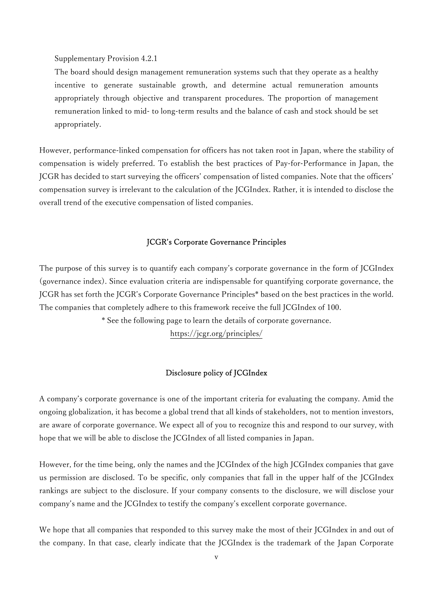Supplementary Provision 4.2.1

The board should design management remuneration systems such that they operate as a healthy incentive to generate sustainable growth, and determine actual remuneration amounts appropriately through objective and transparent procedures. The proportion of management remuneration linked to mid- to long-term results and the balance of cash and stock should be set appropriately.

However, performance-linked compensation for officers has not taken root in Japan, where the stability of compensation is widely preferred. To establish the best practices of Pay-for-Performance in Japan, the JCGR has decided to start surveying the officers' compensation of listed companies. Note that the officers' compensation survey is irrelevant to the calculation of the JCGIndex. Rather, it is intended to disclose the overall trend of the executive compensation of listed companies.

#### JCGR's Corporate Governance Principles

The purpose of this survey is to quantify each company's corporate governance in the form of JCGIndex (governance index). Since evaluation criteria are indispensable for quantifying corporate governance, the JCGR has set forth the JCGR's Corporate Governance Principles\* based on the best practices in the world. The companies that completely adhere to this framework receive the full JCGIndex of 100.

\* See the following page to learn the details of corporate governance.

https://jcgr.org/principles/

#### Disclosure policy of JCGIndex

A company's corporate governance is one of the important criteria for evaluating the company. Amid the ongoing globalization, it has become a global trend that all kinds of stakeholders, not to mention investors, are aware of corporate governance. We expect all of you to recognize this and respond to our survey, with hope that we will be able to disclose the JCGIndex of all listed companies in Japan.

However, for the time being, only the names and the JCGIndex of the high JCGIndex companies that gave us permission are disclosed. To be specific, only companies that fall in the upper half of the JCGIndex rankings are subject to the disclosure. If your company consents to the disclosure, we will disclose your company's name and the JCGIndex to testify the company's excellent corporate governance.

We hope that all companies that responded to this survey make the most of their JCGIndex in and out of the company. In that case, clearly indicate that the JCGIndex is the trademark of the Japan Corporate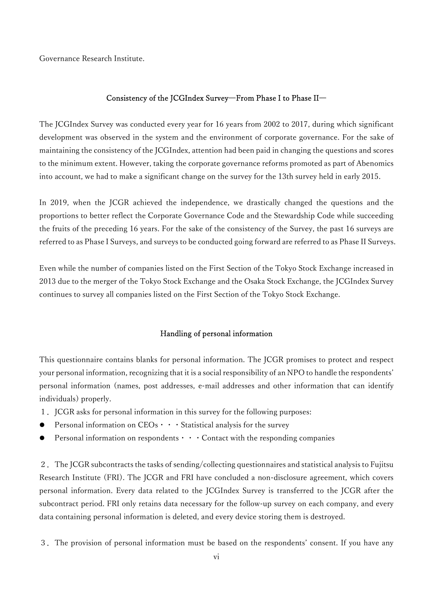Governance Research Institute.

#### Consistency of the JCGIndex Survey―From Phase I to Phase II―

The JCGIndex Survey was conducted every year for 16 years from 2002 to 2017, during which significant development was observed in the system and the environment of corporate governance. For the sake of maintaining the consistency of the JCGIndex, attention had been paid in changing the questions and scores to the minimum extent. However, taking the corporate governance reforms promoted as part of Abenomics into account, we had to make a significant change on the survey for the 13th survey held in early 2015.

In 2019, when the JCGR achieved the independence, we drastically changed the questions and the proportions to better reflect the Corporate Governance Code and the Stewardship Code while succeeding the fruits of the preceding 16 years. For the sake of the consistency of the Survey, the past 16 surveys are referred to as Phase I Surveys, and surveys to be conducted going forward are referred to as Phase II Surveys.

Even while the number of companies listed on the First Section of the Tokyo Stock Exchange increased in 2013 due to the merger of the Tokyo Stock Exchange and the Osaka Stock Exchange, the JCGIndex Survey continues to survey all companies listed on the First Section of the Tokyo Stock Exchange.

#### Handling of personal information

This questionnaire contains blanks for personal information. The JCGR promises to protect and respect your personal information, recognizing that it is a social responsibility of an NPO to handle the respondents' personal information (names, post addresses, e-mail addresses and other information that can identify individuals) properly.

- 1. JCGR asks for personal information in this survey for the following purposes:
- Personal information on CEOs・・・Statistical analysis for the survey
- Personal information on respondents  $\cdots$  Contact with the responding companies

2.The JCGR subcontracts the tasks of sending/collecting questionnaires and statistical analysis to Fujitsu Research Institute (FRI). The JCGR and FRI have concluded a non-disclosure agreement, which covers personal information. Every data related to the JCGIndex Survey is transferred to the JCGR after the subcontract period. FRI only retains data necessary for the follow-up survey on each company, and every data containing personal information is deleted, and every device storing them is destroyed.

3.The provision of personal information must be based on the respondents' consent. If you have any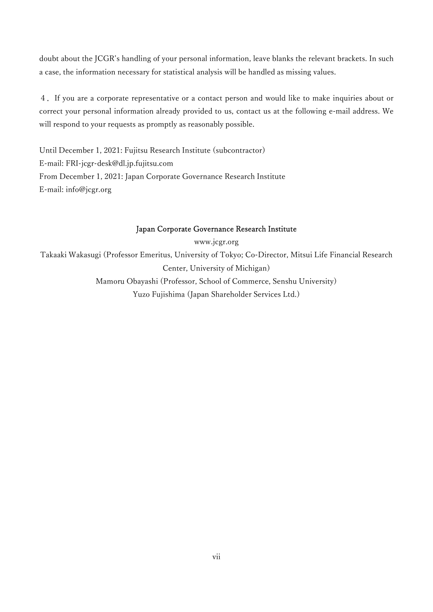doubt about the JCGR's handling of your personal information, leave blanks the relevant brackets. In such a case, the information necessary for statistical analysis will be handled as missing values.

4.If you are a corporate representative or a contact person and would like to make inquiries about or correct your personal information already provided to us, contact us at the following e-mail address. We will respond to your requests as promptly as reasonably possible.

Until December 1, 2021: Fujitsu Research Institute (subcontractor) E-mail: FRI-jcgr-desk@dl.jp.fujitsu.com From December 1, 2021: Japan Corporate Governance Research Institute E-mail: info@jcgr.org

## Japan Corporate Governance Research Institute

www.jcgr.org Takaaki Wakasugi (Professor Emeritus, University of Tokyo; Co-Director, Mitsui Life Financial Research Center, University of Michigan) Mamoru Obayashi (Professor, School of Commerce, Senshu University) Yuzo Fujishima (Japan Shareholder Services Ltd.)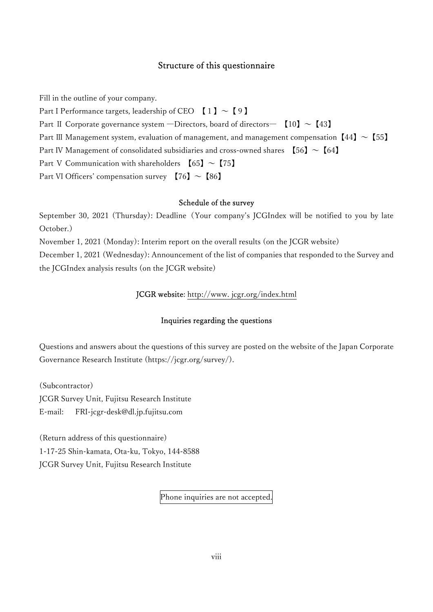## Structure of this questionnaire

Fill in the outline of your company.

Part I Performance targets, leadership of CEO  $[1] \sim [9]$ 

Part II Corporate governance system —Directors, board of directors—  $[10] \sim [43]$ 

Part III Management system, evaluation of management, and management compensation  $[44] \sim [55]$ 

Part IV Management of consolidated subsidiaries and cross-owned shares  $[56] \sim [64]$ 

Part V Communication with shareholders  $[65] \sim [75]$ 

Part VI Officers' compensation survey  $[76] \sim [86]$ 

#### Schedule of the survey

September 30, 2021 (Thursday): Deadline (Your company's JCGIndex will be notified to you by late October.)

November 1, 2021 (Monday): Interim report on the overall results (on the JCGR website)

December 1, 2021 (Wednesday): Announcement of the list of companies that responded to the Survey and the JCGIndex analysis results (on the JCGR website)

## JCGR website: http://www. jcgr.org/index.html

#### Inquiries regarding the questions

Questions and answers about the questions of this survey are posted on the website of the Japan Corporate Governance Research Institute (https://jcgr.org/survey/).

(Subcontractor)

JCGR Survey Unit, Fujitsu Research Institute

E-mail: FRI-jcgr-desk@dl.jp.fujitsu.com

(Return address of this questionnaire) 1-17-25 Shin-kamata, Ota-ku, Tokyo, 144-8588 JCGR Survey Unit, Fujitsu Research Institute

Phone inquiries are not accepted.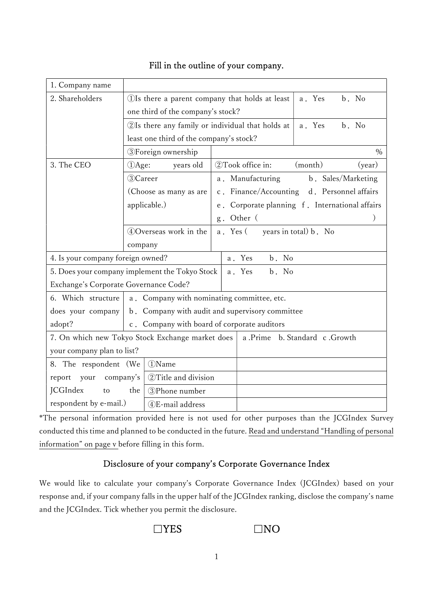| 1. Company name                                                                    |                                                 |                                                                      |                                             |  |
|------------------------------------------------------------------------------------|-------------------------------------------------|----------------------------------------------------------------------|---------------------------------------------|--|
| 2. Shareholders                                                                    |                                                 | b. No<br>(1) Is there a parent company that holds at least<br>a. Yes |                                             |  |
|                                                                                    |                                                 | one third of the company's stock?                                    |                                             |  |
|                                                                                    |                                                 | 2Is there any family or individual that holds at<br>b. No<br>a. Yes  |                                             |  |
|                                                                                    |                                                 | least one third of the company's stock?                              |                                             |  |
|                                                                                    | <b>3</b> Foreign ownership                      |                                                                      | $\%$                                        |  |
| 3. The CEO                                                                         | DAge:<br>years old                              | 2Took office in:                                                     | (month)<br>(year)                           |  |
|                                                                                    | 3)Career                                        | a. Manufacturing                                                     | b. Sales/Marketing                          |  |
|                                                                                    | (Choose as many as are                          |                                                                      | c. Finance/Accounting d. Personnel affairs  |  |
|                                                                                    | applicable.)                                    | e .                                                                  | Corporate planning f. International affairs |  |
|                                                                                    |                                                 | Other (<br>$g$ .                                                     |                                             |  |
|                                                                                    | 40Overseas work in the                          | a. Yes (                                                             | years in total) b. No                       |  |
|                                                                                    | company                                         |                                                                      |                                             |  |
| b. No<br>4. Is your company foreign owned?<br>a. Yes                               |                                                 |                                                                      |                                             |  |
| 5. Does your company implement the Tokyo Stock<br>a. Yes<br>b. No                  |                                                 |                                                                      |                                             |  |
| Exchange's Corporate Governance Code?                                              |                                                 |                                                                      |                                             |  |
| a. Company with nominating committee, etc.<br>6. Which structure                   |                                                 |                                                                      |                                             |  |
| does your company                                                                  | b. Company with audit and supervisory committee |                                                                      |                                             |  |
| adopt?                                                                             | c. Company with board of corporate auditors     |                                                                      |                                             |  |
| 7. On which new Tokyo Stock Exchange market does  <br>a Prime b. Standard c Growth |                                                 |                                                                      |                                             |  |
| your company plan to list?                                                         |                                                 |                                                                      |                                             |  |
| 8. The respondent (We                                                              | (1) Name                                        |                                                                      |                                             |  |
| your<br>company's<br>report                                                        | 2 Title and division                            |                                                                      |                                             |  |
| <b>JCGIndex</b><br>to                                                              | the<br>3)Phone number                           |                                                                      |                                             |  |
| respondent by e-mail.)                                                             | 4)E-mail address                                |                                                                      |                                             |  |

# Fill in the outline of your company.

\*The personal information provided here is not used for other purposes than the JCGIndex Survey conducted this time and planned to be conducted in the future. Read and understand "Handling of personal information" on page v before filling in this form.

# Disclosure of your company's Corporate Governance Index

We would like to calculate your company's Corporate Governance Index (JCGIndex) based on your response and, if your company falls in the upper half of the JCGIndex ranking, disclose the company's name and the JCGIndex. Tick whether you permit the disclosure.

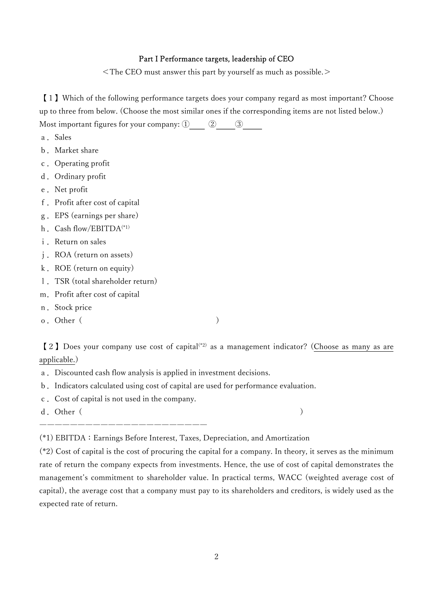#### Part I Performance targets, leadership of CEO

<The CEO must answer this part by yourself as much as possible.>

【1】Which of the following performance targets does your company regard as most important? Choose up to three from below. (Choose the most similar ones if the corresponding items are not listed below.) Most important figures for your company:  $\textcircled{1}$   $\textcircled{2}$   $\textcircled{3}$ 

- a.Sales
- b.Market share
- c.Operating profit
- d. Ordinary profit
- e.Net profit
- f.Profit after cost of capital
- g.EPS (earnings per share)
- h. Cash flow/EBITDA<sup>(\*1)</sup>
- i. Return on sales
- j.ROA (return on assets)
- k. ROE (return on equity)
- l.TSR (total shareholder return)
- m.Profit after cost of capital
- n. Stock price
- o. Other (

【2】Does your company use cost of capital(\*2) as a management indicator? (Choose as many as are applicable.)

- a.Discounted cash flow analysis is applied in investment decisions.
- b.Indicators calculated using cost of capital are used for performance evaluation.
- c.Cost of capital is not used in the company.

――――――――――――――――――――――

d. Other(

(\*1) EBITDA:Earnings Before Interest, Taxes, Depreciation, and Amortization

(\*2) Cost of capital is the cost of procuring the capital for a company. In theory, it serves as the minimum rate of return the company expects from investments. Hence, the use of cost of capital demonstrates the management's commitment to shareholder value. In practical terms, WACC (weighted average cost of capital), the average cost that a company must pay to its shareholders and creditors, is widely used as the expected rate of return.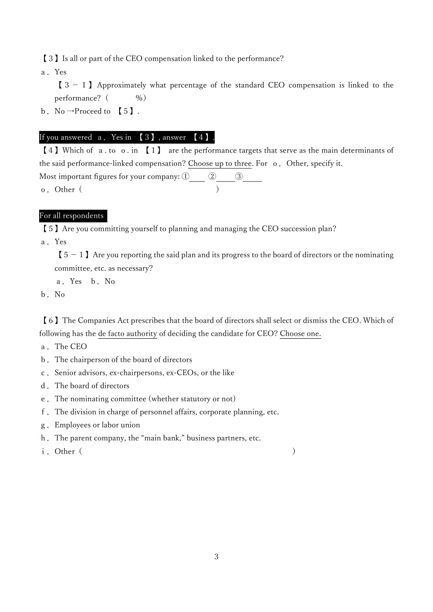【3】Is all or part of the CEO compensation linked to the performance?

a.Yes

 $\begin{bmatrix} 3-1 \end{bmatrix}$  Approximately what percentage of the standard CEO compensation is linked to the performance? (  $\%$ )

b. No  $\rightarrow$ Proceed to [5].

## If you answered a.Yes in 【3】, answer 【4】.

【4】Which of a. to o. in 【1】 are the performance targets that serve as the main determinants of the said performance-linked compensation? Choose up to three. For o. Other, specify it. Most important figures for your company:  $(1)$   $(2)$   $(3)$ o. Other( )

# For all respondents

【5】Are you committing yourself to planning and managing the CEO succession plan?

a.Yes

 $\begin{bmatrix} 5-1 \end{bmatrix}$  Are you reporting the said plan and its progress to the board of directors or the nominating committee, etc. as necessary?

a.Yes b.No

b.No

【6】The Companies Act prescribes that the board of directors shall select or dismiss the CEO. Which of following has the de facto authority of deciding the candidate for CEO? Choose one.

- a.The CEO
- b.The chairperson of the board of directors
- c.Senior advisors, ex-chairpersons, ex-CEOs, or the like
- d.The board of directors
- e.The nominating committee (whether statutory or not)
- f.The division in charge of personnel affairs, corporate planning, etc.
- g.Employees or labor union
- h.The parent company, the "main bank," business partners, etc.
- i. Other(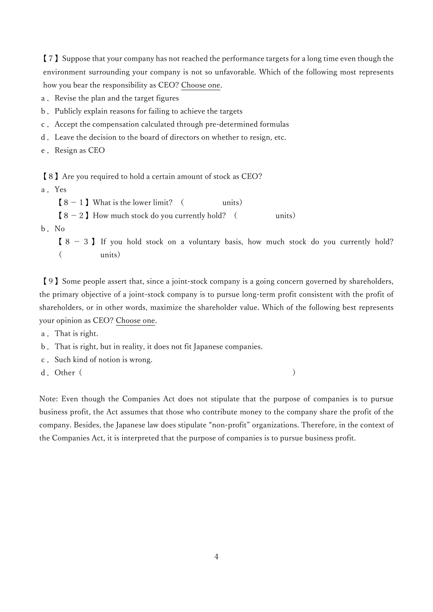【7】Suppose that your company has not reached the performance targets for a long time even though the environment surrounding your company is not so unfavorable. Which of the following most represents how you bear the responsibility as CEO? Choose one.

a. Revise the plan and the target figures

- b. Publicly explain reasons for failing to achieve the targets
- c.Accept the compensation calculated through pre-determined formulas
- d.Leave the decision to the board of directors on whether to resign, etc.
- e. Resign as CEO

【8】Are you required to hold a certain amount of stock as CEO?

a.Yes

 $[8-1]$  What is the lower limit? ( units)

 $[8-2]$  How much stock do you currently hold? ( units)

b.No

 $[8 - 3]$  If you hold stock on a voluntary basis, how much stock do you currently hold? ( units)

【9】Some people assert that, since a joint-stock company is a going concern governed by shareholders, the primary objective of a joint-stock company is to pursue long-term profit consistent with the profit of shareholders, or in other words, maximize the shareholder value. Which of the following best represents your opinion as CEO? Choose one.

a.That is right.

- b.That is right, but in reality, it does not fit Japanese companies.
- c.Such kind of notion is wrong.
- d. Other ( )

Note: Even though the Companies Act does not stipulate that the purpose of companies is to pursue business profit, the Act assumes that those who contribute money to the company share the profit of the company. Besides, the Japanese law does stipulate "non-profit" organizations. Therefore, in the context of the Companies Act, it is interpreted that the purpose of companies is to pursue business profit.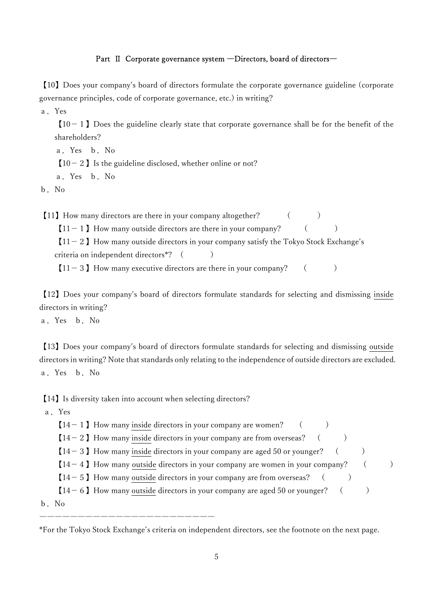#### Part Ⅱ Corporate governance system ―Directors, board of directors―

【10】Does your company's board of directors formulate the corporate governance guideline (corporate governance principles, code of corporate governance, etc.) in writing?

a.Yes

 $[10-1]$  Does the guideline clearly state that corporate governance shall be for the benefit of the shareholders?

a.Yes b.No

 $[10-2]$  Is the guideline disclosed, whether online or not?

a.Yes b.No

b.No

【11】How many directors are there in your company altogether? ( )

 $[11-1]$  How many outside directors are there in your company? ()

 $[11-2]$  How many outside directors in your company satisfy the Tokyo Stock Exchange's criteria on independent directors<sup>\*?</sup> ()

 $[11-3]$  How many executive directors are there in your company? ()

【12】Does your company's board of directors formulate standards for selecting and dismissing inside directors in writing?

a.Yes b.No

【13】Does your company's board of directors formulate standards for selecting and dismissing outside directors in writing? Note that standards only relating to the independence of outside directors are excluded. a.Yes b.No

【14】Is diversity taken into account when selecting directors?

―――――――――――――――――――――――

a.Yes

 $[14-1]$  How many inside directors in your company are women? ()

 $[14-2]$  How many inside directors in your company are from overseas? ( )

 $[14-3]$  How many inside directors in your company are aged 50 or younger? ( )

 $[14-4]$  How many outside directors in your company are women in your company? ()

 $[14-5]$  How many outside directors in your company are from overseas? ( )

 $[14-6]$  How many outside directors in your company are aged 50 or younger? ( )

b.No

\*For the Tokyo Stock Exchange's criteria on independent directors, see the footnote on the next page.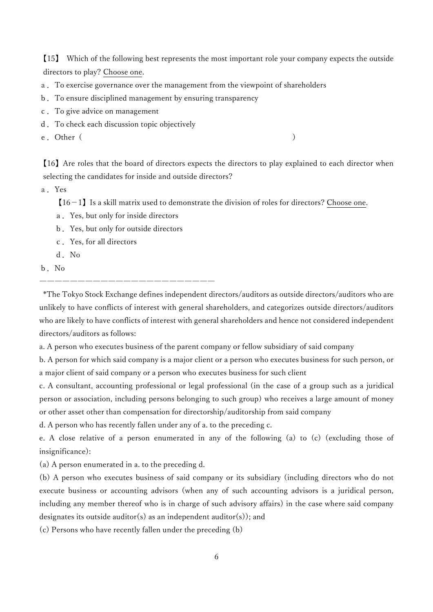【15】 Which of the following best represents the most important role your company expects the outside directors to play? Choose one.

- a.To exercise governance over the management from the viewpoint of shareholders
- b.To ensure disciplined management by ensuring transparency
- c.To give advice on management
- d.To check each discussion topic objectively

e. Other(

【16】Are roles that the board of directors expects the directors to play explained to each director when selecting the candidates for inside and outside directors?

a.Yes

 $[16-1]$  Is a skill matrix used to demonstrate the division of roles for directors? Choose one.

- a.Yes, but only for inside directors
- b.Yes, but only for outside directors

―――――――――――――――――――――――

- c.Yes, for all directors
- d.No
- b.No

 \*The Tokyo Stock Exchange defines independent directors/auditors as outside directors/auditors who are unlikely to have conflicts of interest with general shareholders, and categorizes outside directors/auditors who are likely to have conflicts of interest with general shareholders and hence not considered independent directors/auditors as follows:

a. A person who executes business of the parent company or fellow subsidiary of said company

b. A person for which said company is a major client or a person who executes business for such person, or a major client of said company or a person who executes business for such client

c. A consultant, accounting professional or legal professional (in the case of a group such as a juridical person or association, including persons belonging to such group) who receives a large amount of money or other asset other than compensation for directorship/auditorship from said company

d. A person who has recently fallen under any of a. to the preceding c.

e. A close relative of a person enumerated in any of the following (a) to (c) (excluding those of insignificance):

(a) A person enumerated in a. to the preceding d.

(b) A person who executes business of said company or its subsidiary (including directors who do not execute business or accounting advisors (when any of such accounting advisors is a juridical person, including any member thereof who is in charge of such advisory affairs) in the case where said company designates its outside auditor(s) as an independent auditor(s)); and

(c) Persons who have recently fallen under the preceding (b)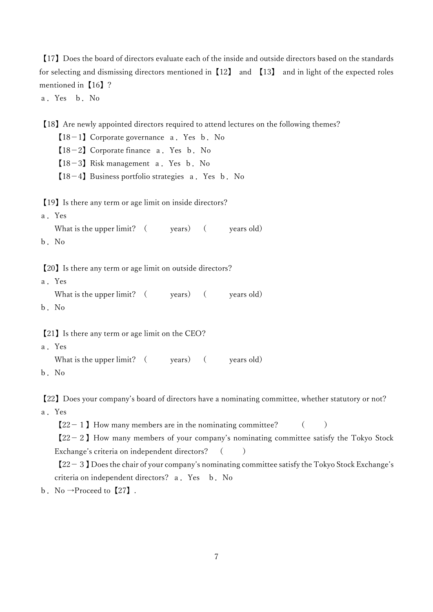【17】Does the board of directors evaluate each of the inside and outside directors based on the standards for selecting and dismissing directors mentioned in [12] and [13] and in light of the expected roles mentioned in [16] ?

a.Yes b.No

【18】Are newly appointed directors required to attend lectures on the following themes?

 $[18-1]$  Corporate governance a. Yes b. No

 $[18-2]$  Corporate finance a. Yes b. No

 $[18-3]$  Risk management a. Yes b. No

 $[18-4]$  Business portfolio strategies a. Yes b. No

【19】Is there any term or age limit on inside directors?

a.Yes What is the upper limit?  $($  years  $)$   $($  years old)

b.No

【20】Is there any term or age limit on outside directors?

a.Yes What is the upper limit?  $($  years $)$   $($  years old) b.No

【21】Is there any term or age limit on the CEO?

```
a.Yes 
What is the upper limit? ( years) ( years old)
```
b.No

【22】Does your company's board of directors have a nominating committee, whether statutory or not? a.Yes

 $[22-1]$  How many members are in the nominating committee?  $($ 

 $[22-2]$  How many members of your company's nominating committee satisfy the Tokyo Stock Exchange's criteria on independent directors? ()

【22-3】Does the chair of your company's nominating committee satisfy the Tokyo Stock Exchange's criteria on independent directors? a. Yes b. No

b. No  $\rightarrow$ Proceed to [27].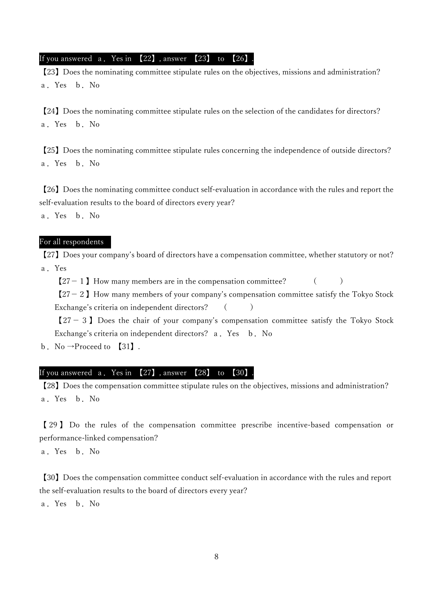If you answered a. Yes in 【22】, answer 【23】 to 【26】

【23】Does the nominating committee stipulate rules on the objectives, missions and administration? a.Yes b.No

【24】Does the nominating committee stipulate rules on the selection of the candidates for directors? a.Yes b.No

【25】Does the nominating committee stipulate rules concerning the independence of outside directors? a.Yes b.No

【26】Does the nominating committee conduct self-evaluation in accordance with the rules and report the self-evaluation results to the board of directors every year?

a.Yes b.No

## For all respondents

【27】Does your company's board of directors have a compensation committee, whether statutory or not? a.Yes

 $[27-1]$  How many members are in the compensation committee?  $($ 

 $[27-2]$  How many members of your company's compensation committee satisfy the Tokyo Stock Exchange's criteria on independent directors? ()

 $[27-3]$  Does the chair of your company's compensation committee satisfy the Tokyo Stock Exchange's criteria on independent directors? a. Yes b. No

b. No  $\rightarrow$  Proceed to [31].

## If you answered a.Yes in 【27】, answer 【28】 to 【30】.

【28】Does the compensation committee stipulate rules on the objectives, missions and administration? a.Yes b.No

【 29 】 Do the rules of the compensation committee prescribe incentive-based compensation or performance-linked compensation?

a.Yes b.No

【30】Does the compensation committee conduct self-evaluation in accordance with the rules and report the self-evaluation results to the board of directors every year?

a.Yes b.No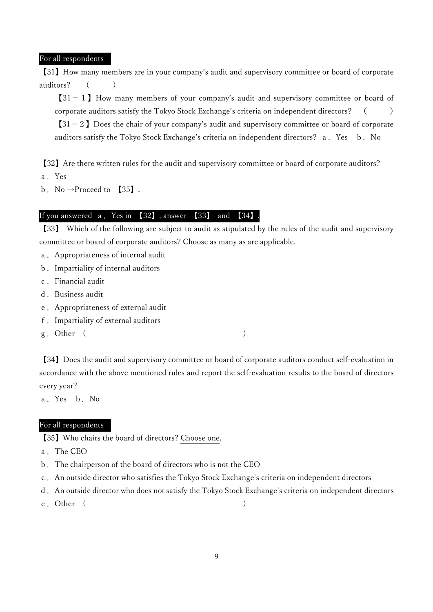For all respondents

【31】How many members are in your company's audit and supervisory committee or board of corporate auditors? ()

 $[31-1]$  How many members of your company's audit and supervisory committee or board of corporate auditors satisfy the Tokyo Stock Exchange's criteria on independent directors? ()  $[31-2]$  Does the chair of your company's audit and supervisory committee or board of corporate

auditors satisfy the Tokyo Stock Exchange's criteria on independent directors? a. Yes b. No

【32】Are there written rules for the audit and supervisory committee or board of corporate auditors? a.Yes

b. No  $\rightarrow$ Proceed to [35].

## If you answered a. Yes in  $\left[32\right]$  , answer  $\left[33\right]$  and  $\left[34\right]$ .

【33】 Which of the following are subject to audit as stipulated by the rules of the audit and supervisory committee or board of corporate auditors? Choose as many as are applicable.

- a.Appropriateness of internal audit
- b.Impartiality of internal auditors
- c.Financial audit
- d. Business audit
- e.Appropriateness of external audit
- f.Impartiality of external auditors
- g. Other (

【34】Does the audit and supervisory committee or board of corporate auditors conduct self-evaluation in accordance with the above mentioned rules and report the self-evaluation results to the board of directors every year?

a.Yes b.No

## For all respondents

【35】Who chairs the board of directors? Choose one.

- a.The CEO
- b.The chairperson of the board of directors who is not the CEO
- c.An outside director who satisfies the Tokyo Stock Exchange's criteria on independent directors
- d.An outside director who does not satisfy the Tokyo Stock Exchange's criteria on independent directors
- e. Other (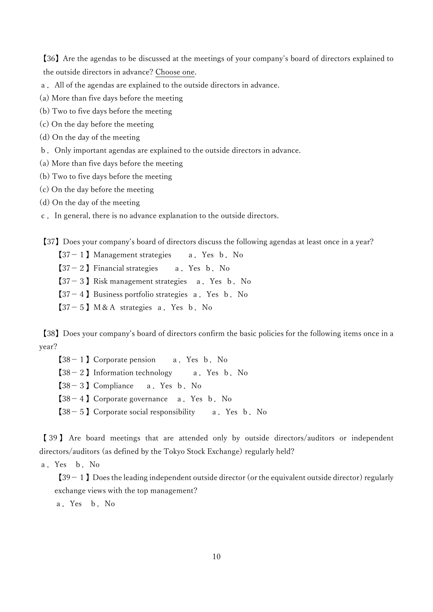【36】Are the agendas to be discussed at the meetings of your company's board of directors explained to the outside directors in advance? Choose one.

- a.All of the agendas are explained to the outside directors in advance.
- (a) More than five days before the meeting
- (b) Two to five days before the meeting
- (c) On the day before the meeting
- (d) On the day of the meeting
- b.Only important agendas are explained to the outside directors in advance.
- (a) More than five days before the meeting
- (b) Two to five days before the meeting
- (c) On the day before the meeting
- (d) On the day of the meeting
- c.In general, there is no advance explanation to the outside directors.

【37】Does your company's board of directors discuss the following agendas at least once in a year?

- 【37-1】Management strategies a.Yes b.No
- $[37-2]$  Financial strategies a. Yes b. No
- $[37-3]$  Risk management strategies a. Yes b. No
- $[37-4]$  Business portfolio strategies a. Yes b. No
- $[37-5]$  M&A strategies a. Yes b. No

【38】Does your company's board of directors confirm the basic policies for the following items once in a year?

 $[38-1]$  Corporate pension a. Yes b. No  $[38-2]$  Information technology a. Yes b. No  $[38-3]$  Compliance a. Yes b. No  $[38-4]$  Corporate governance a. Yes b. No  $[38-5]$  Corporate social responsibility a. Yes b. No

【 39 】 Are board meetings that are attended only by outside directors/auditors or independent directors/auditors (as defined by the Tokyo Stock Exchange) regularly held?

a.Yes b.No

 $[39-1]$  Does the leading independent outside director (or the equivalent outside director) regularly exchange views with the top management?

a.Yes b.No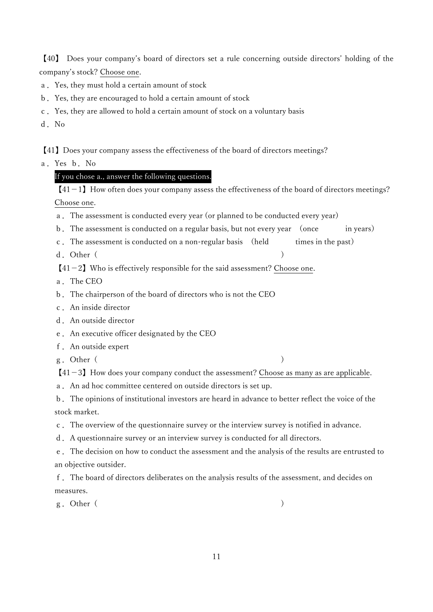【40】 Does your company's board of directors set a rule concerning outside directors' holding of the company's stock? Choose one.

- a.Yes, they must hold a certain amount of stock
- b.Yes, they are encouraged to hold a certain amount of stock
- c.Yes, they are allowed to hold a certain amount of stock on a voluntary basis
- d.No

【41】Does your company assess the effectiveness of the board of directors meetings?

a.Yes b.No

## If you chose a., answer the following questions.

 $[41-1]$  How often does your company assess the effectiveness of the board of directors meetings? Choose one.

- a.The assessment is conducted every year (or planned to be conducted every year)
- b. The assessment is conducted on a regular basis, but not every year (once in years)
- c.The assessment is conducted on a non-regular basis (held times in the past)
- d. Other ( )

 $[41-2]$  Who is effectively responsible for the said assessment? Choose one.

- a.The CEO
- b.The chairperson of the board of directors who is not the CEO
- c.An inside director
- d.An outside director
- e.An executive officer designated by the CEO
- f.An outside expert
- g. Other (

 $[41-3]$  How does your company conduct the assessment? Choose as many as are applicable.

a.An ad hoc committee centered on outside directors is set up.

b.The opinions of institutional investors are heard in advance to better reflect the voice of the stock market.

c.The overview of the questionnaire survey or the interview survey is notified in advance.

d.A questionnaire survey or an interview survey is conducted for all directors.

e.The decision on how to conduct the assessment and the analysis of the results are entrusted to an objective outsider.

f.The board of directors deliberates on the analysis results of the assessment, and decides on measures.

g. Other (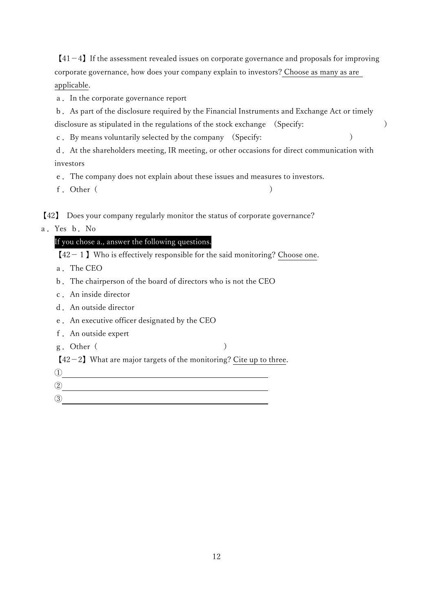$[41-4]$  If the assessment revealed issues on corporate governance and proposals for improving corporate governance, how does your company explain to investors? Choose as many as are applicable.

a.In the corporate governance report

b.As part of the disclosure required by the Financial Instruments and Exchange Act or timely disclosure as stipulated in the regulations of the stock exchange (Specify: )

c.By means voluntarily selected by the company (Specify: )

d.At the shareholders meeting, IR meeting, or other occasions for direct communication with investors

e.The company does not explain about these issues and measures to investors.

f. Other( )

【42】 Does your company regularly monitor the status of corporate governance?

a.Yes b.No

## If you chose a., answer the following questions.

 $[42-1]$  Who is effectively responsible for the said monitoring? Choose one.

a.The CEO

- b.The chairperson of the board of directors who is not the CEO
- c.An inside director
- d.An outside director
- e.An executive officer designated by the CEO
- f.An outside expert
- g. Other (

 $[42-2]$  What are major targets of the monitoring? Cite up to three.

 $\boxed{0}$ 

③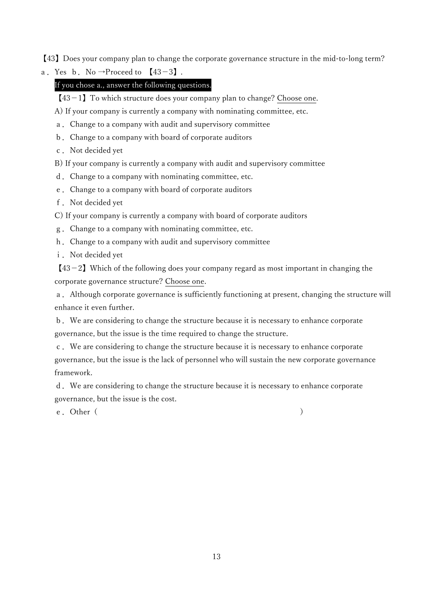【43】Does your company plan to change the corporate governance structure in the mid-to-long term?

a. Yes b. No  $\rightarrow$ Proceed to  $[43-3]$ .

## If you chose a., answer the following questions.

 $[43-1]$  To which structure does your company plan to change? Choose one.

A) If your company is currently a company with nominating committee, etc.

a.Change to a company with audit and supervisory committee

- b.Change to a company with board of corporate auditors
- c. Not decided yet

B) If your company is currently a company with audit and supervisory committee

- d.Change to a company with nominating committee, etc.
- e.Change to a company with board of corporate auditors
- f. Not decided yet

C) If your company is currently a company with board of corporate auditors

- g.Change to a company with nominating committee, etc.
- h.Change to a company with audit and supervisory committee

i. Not decided yet

 $[43-2]$  Which of the following does your company regard as most important in changing the corporate governance structure? Choose one.

a.Although corporate governance is sufficiently functioning at present, changing the structure will enhance it even further.

b.We are considering to change the structure because it is necessary to enhance corporate governance, but the issue is the time required to change the structure.

c.We are considering to change the structure because it is necessary to enhance corporate governance, but the issue is the lack of personnel who will sustain the new corporate governance framework.

d.We are considering to change the structure because it is necessary to enhance corporate governance, but the issue is the cost.

e. Other(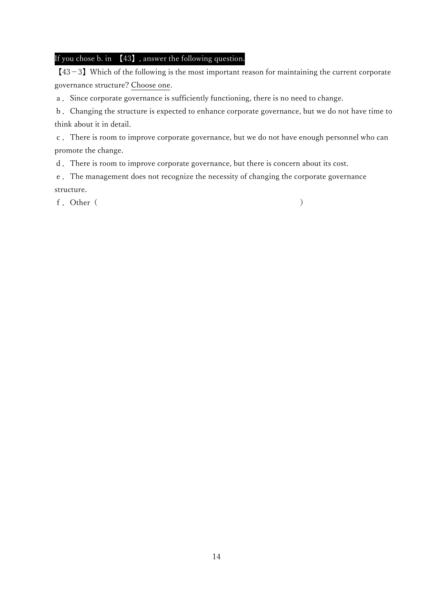## If you chose b. in 【43】, answer the following question.

 $[43-3]$  Which of the following is the most important reason for maintaining the current corporate governance structure? Choose one.

a.Since corporate governance is sufficiently functioning, there is no need to change.

b.Changing the structure is expected to enhance corporate governance, but we do not have time to think about it in detail.

c.There is room to improve corporate governance, but we do not have enough personnel who can promote the change.

d.There is room to improve corporate governance, but there is concern about its cost.

e.The management does not recognize the necessity of changing the corporate governance structure.

f. Other ( )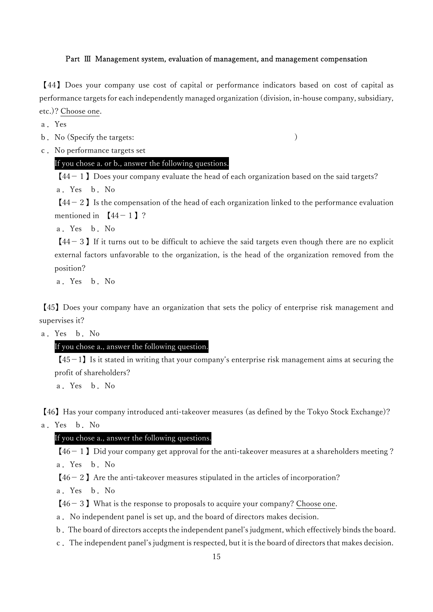#### Part Ⅲ Management system, evaluation of management, and management compensation

【44】Does your company use cost of capital or performance indicators based on cost of capital as performance targets for each independently managed organization (division, in-house company, subsidiary, etc.)? Choose one.

a.Yes

b. No (Specify the targets: )

c.No performance targets set

## If you chose a. or b., answer the following questions.

 $[44-1]$  Does your company evaluate the head of each organization based on the said targets? a.Yes b.No

 $[44-2]$  Is the compensation of the head of each organization linked to the performance evaluation mentioned in  $[44-1]$  ?

a.Yes b.No

 $[44-3]$  If it turns out to be difficult to achieve the said targets even though there are no explicit external factors unfavorable to the organization, is the head of the organization removed from the position?

a.Yes b.No

【45】Does your company have an organization that sets the policy of enterprise risk management and supervises it?

a.Yes b.No

# If you chose a., answer the following question.

 $[45-1]$  Is it stated in writing that your company's enterprise risk management aims at securing the profit of shareholders?

a.Yes b.No

【46】Has your company introduced anti-takeover measures (as defined by the Tokyo Stock Exchange)?

a.Yes b.No

## If you chose a., answer the following questions.

 $[46-1]$  Did your company get approval for the anti-takeover measures at a shareholders meeting ?

a.Yes b.No

 $[46-2]$  Are the anti-takeover measures stipulated in the articles of incorporation?

a.Yes b.No

 $[46-3]$  What is the response to proposals to acquire your company? Choose one.

a.No independent panel is set up, and the board of directors makes decision.

b.The board of directors accepts the independent panel's judgment, which effectively binds the board.

c.The independent panel's judgment is respected, but it is the board of directors that makes decision.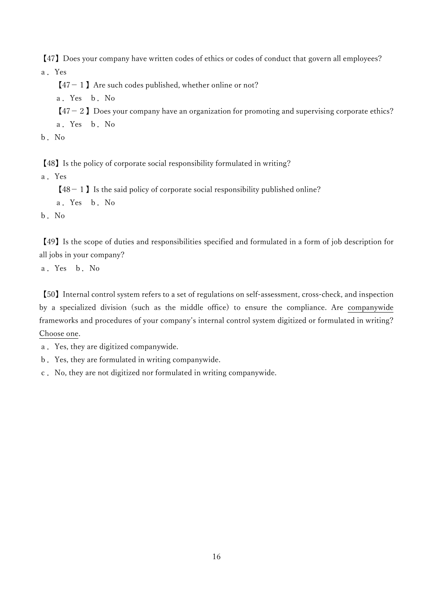【47】Does your company have written codes of ethics or codes of conduct that govern all employees? a.Yes

 $[47-1]$  Are such codes published, whether online or not?

a.Yes b.No

- $[47-2]$  Does your company have an organization for promoting and supervising corporate ethics?
- a.Yes b.No
- b.No

【48】Is the policy of corporate social responsibility formulated in writing?

a.Yes

 $[48-1]$  Is the said policy of corporate social responsibility published online?

a.Yes b.No

b.No

【49】Is the scope of duties and responsibilities specified and formulated in a form of job description for all jobs in your company?

a.Yes b.No

【50】Internal control system refers to a set of regulations on self-assessment, cross-check, and inspection by a specialized division (such as the middle office) to ensure the compliance. Are companywide frameworks and procedures of your company's internal control system digitized or formulated in writing? Choose one.

- a.Yes, they are digitized companywide.
- b.Yes, they are formulated in writing companywide.
- c.No, they are not digitized nor formulated in writing companywide.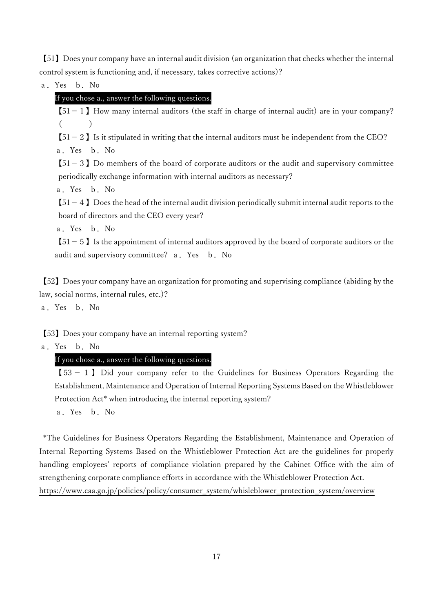【51】Does your company have an internal audit division (an organization that checks whether the internal control system is functioning and, if necessary, takes corrective actions)?

a.Yes b.No

# If you chose a., answer the following questions.

 $[51-1]$  How many internal auditors (the staff in charge of internal audit) are in your company?  $($ 

 $[51-2]$  Is it stipulated in writing that the internal auditors must be independent from the CEO? a.Yes b.No

 $[51-3]$  Do members of the board of corporate auditors or the audit and supervisory committee periodically exchange information with internal auditors as necessary?

a.Yes b.No

 $[51-4]$  Does the head of the internal audit division periodically submit internal audit reports to the board of directors and the CEO every year?

a.Yes b.No

 $[51-5]$  Is the appointment of internal auditors approved by the board of corporate auditors or the audit and supervisory committee? a. Yes b. No

【52】Does your company have an organization for promoting and supervising compliance (abiding by the law, social norms, internal rules, etc.)?

a.Yes b.No

【53】Does your company have an internal reporting system?

a.Yes b.No

# If you chose a., answer the following questions.

 $[53 - 1]$  Did your company refer to the Guidelines for Business Operators Regarding the Establishment, Maintenance and Operation of Internal Reporting Systems Based on the Whistleblower Protection Act\* when introducing the internal reporting system?

a.Yes b.No

 \*The Guidelines for Business Operators Regarding the Establishment, Maintenance and Operation of Internal Reporting Systems Based on the Whistleblower Protection Act are the guidelines for properly handling employees' reports of compliance violation prepared by the Cabinet Office with the aim of strengthening corporate compliance efforts in accordance with the Whistleblower Protection Act. https://www.caa.go.jp/policies/policy/consumer\_system/whisleblower\_protection\_system/overview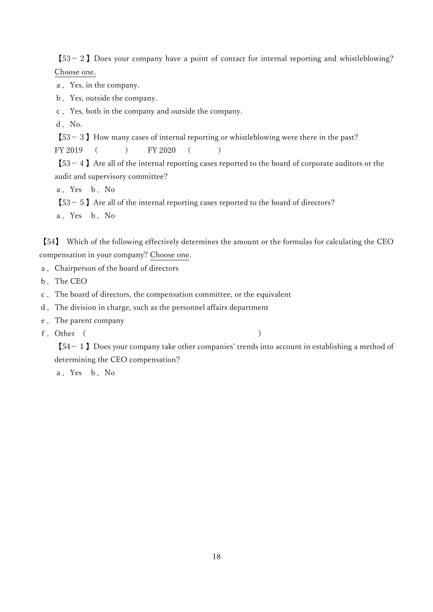$[53-2]$  Does your company have a point of contact for internal reporting and whistleblowing? Choose one.

a.Yes, in the company.

b.Yes, outside the company.

c.Yes, both in the company and outside the company.

d. No.

【53-3】How many cases of internal reporting or whistleblowing were there in the past?

FY 2019 ( ) FY 2020 ( )

 $[53-4]$  Are all of the internal reporting cases reported to the board of corporate auditors or the audit and supervisory committee?

a.Yes b.No

 $[53-5]$  Are all of the internal reporting cases reported to the board of directors?

a.Yes b.No

【54】 Which of the following effectively determines the amount or the formulas for calculating the CEO compensation in your company? Choose one.

- a.Chairperson of the board of directors
- b.The CEO
- c.The board of directors, the compensation committee, or the equivalent
- d.The division in charge, such as the personnel affairs department
- e.The parent company
- f.Other ( )

 $[54-1]$  Does your company take other companies' trends into account in establishing a method of determining the CEO compensation?

a.Yes b.No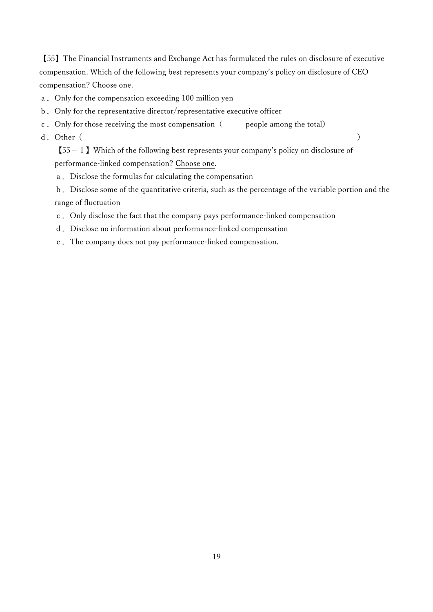【55】The Financial Instruments and Exchange Act has formulated the rules on disclosure of executive compensation. Which of the following best represents your company's policy on disclosure of CEO compensation? Choose one.

- a.Only for the compensation exceeding 100 million yen
- b.Only for the representative director/representative executive officer
- c. Only for those receiving the most compensation  $($  people among the total)
- d. Other( )

 $[55-1]$  Which of the following best represents your company's policy on disclosure of performance-linked compensation? Choose one.

- a.Disclose the formulas for calculating the compensation
- b.Disclose some of the quantitative criteria, such as the percentage of the variable portion and the range of fluctuation
- c.Only disclose the fact that the company pays performance-linked compensation
- d.Disclose no information about performance-linked compensation
- e.The company does not pay performance-linked compensation.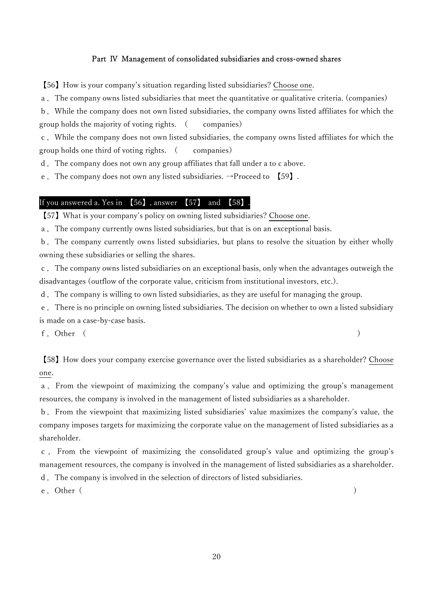#### Part Ⅳ Management of consolidated subsidiaries and cross-owned shares

【56】How is your company's situation regarding listed subsidiaries? Choose one.

a.The company owns listed subsidiaries that meet the quantitative or qualitative criteria. (companies)

b.While the company does not own listed subsidiaries, the company owns listed affiliates for which the group holds the majority of voting rights. ( companies)

c.While the company does not own listed subsidiaries, the company owns listed affiliates for which the group holds one third of voting rights. (companies)

d.The company does not own any group affiliates that fall under a to c above.

e. The company does not own any listed subsidiaries.  $\rightarrow$  Proceed to [59].

## If you answered a. Yes in 【56】, answer 【57】 and 【58】.

【57】What is your company's policy on owning listed subsidiaries? Choose one.

a.The company currently owns listed subsidiaries, but that is on an exceptional basis.

b.The company currently owns listed subsidiaries, but plans to resolve the situation by either wholly owning these subsidiaries or selling the shares.

c.The company owns listed subsidiaries on an exceptional basis, only when the advantages outweigh the disadvantages (outflow of the corporate value, criticism from institutional investors, etc.).

d.The company is willing to own listed subsidiaries, as they are useful for managing the group.

e.There is no principle on owning listed subsidiaries. The decision on whether to own a listed subsidiary is made on a case-by-case basis.

f.Other ( )

【58】How does your company exercise governance over the listed subsidiaries as a shareholder? Choose one.

a.From the viewpoint of maximizing the company's value and optimizing the group's management resources, the company is involved in the management of listed subsidiaries as a shareholder.

b.From the viewpoint that maximizing listed subsidiaries' value maximizes the company's value, the company imposes targets for maximizing the corporate value on the management of listed subsidiaries as a shareholder.

c . From the viewpoint of maximizing the consolidated group's value and optimizing the group's management resources, the company is involved in the management of listed subsidiaries as a shareholder.

d.The company is involved in the selection of directors of listed subsidiaries.

e. Other (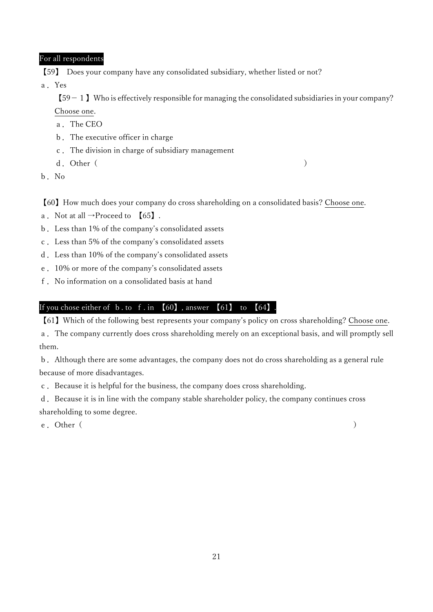## For all respondents

【59】 Does your company have any consolidated subsidiary, whether listed or not?

a.Yes

 $[59-1]$  Who is effectively responsible for managing the consolidated subsidiaries in your company? Choose one.

a.The CEO

- b.The executive officer in charge
- c.The division in charge of subsidiary management
- d. Other( )
- b.No

【60】How much does your company do cross shareholding on a consolidated basis? Choose one.

- a. Not at all  $\rightarrow$ Proceed to  $[65]$ .
- b.Less than 1% of the company's consolidated assets
- c.Less than 5% of the company's consolidated assets
- d.Less than 10% of the company's consolidated assets
- e.10% or more of the company's consolidated assets
- f.No information on a consolidated basis at hand

## If you chose either of b. to f. in  $[60]$ , answer  $[61]$  to  $[64]$ .

【61】Which of the following best represents your company's policy on cross shareholding? Choose one.

a.The company currently does cross shareholding merely on an exceptional basis, and will promptly sell them.

b.Although there are some advantages, the company does not do cross shareholding as a general rule because of more disadvantages.

c.Because it is helpful for the business, the company does cross shareholding.

d. Because it is in line with the company stable shareholder policy, the company continues cross shareholding to some degree.

e.Other( )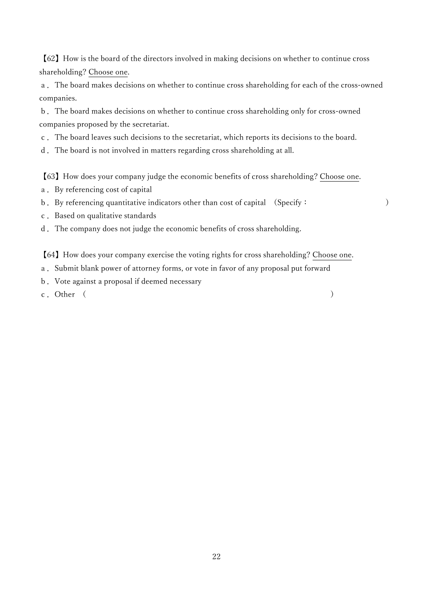【62】How is the board of the directors involved in making decisions on whether to continue cross shareholding? Choose one.

a.The board makes decisions on whether to continue cross shareholding for each of the cross-owned companies.

b.The board makes decisions on whether to continue cross shareholding only for cross-owned companies proposed by the secretariat.

c.The board leaves such decisions to the secretariat, which reports its decisions to the board.

d.The board is not involved in matters regarding cross shareholding at all.

【63】How does your company judge the economic benefits of cross shareholding? Choose one.

- a.By referencing cost of capital
- b. By referencing quantitative indicators other than cost of capital (Specify: )
- c.Based on qualitative standards
- d.The company does not judge the economic benefits of cross shareholding.

【64】How does your company exercise the voting rights for cross shareholding? Choose one.

- a. Submit blank power of attorney forms, or vote in favor of any proposal put forward
- b.Vote against a proposal if deemed necessary
- c. Other (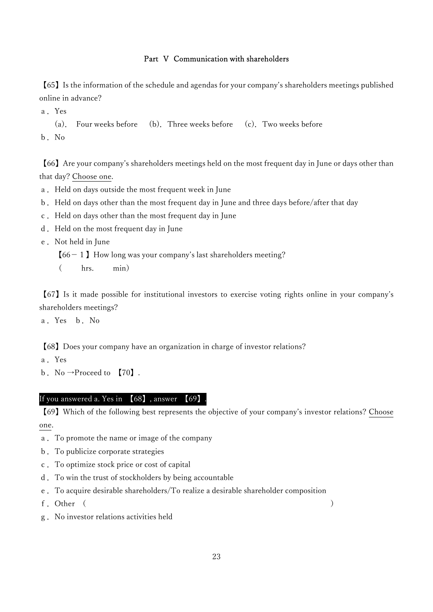#### Part Ⅴ Communication with shareholders

【65】Is the information of the schedule and agendas for your company's shareholders meetings published online in advance?

a.Yes

(a). Four weeks before (b).Three weeks before (c).Two weeks before b.No

【66】Are your company's shareholders meetings held on the most frequent day in June or days other than that day? Choose one.

- a. Held on days outside the most frequent week in June
- b.Held on days other than the most frequent day in June and three days before/after that day
- c.Held on days other than the most frequent day in June
- d. Held on the most frequent day in June
- e.Not held in June
	- $[66-1]$  How long was your company's last shareholders meeting?
	- ( hrs. min)

【67】Is it made possible for institutional investors to exercise voting rights online in your company's shareholders meetings?

a.Yes b.No

【68】Does your company have an organization in charge of investor relations?

a.Yes

b. No  $\rightarrow$ Proceed to [70].

#### If you answered a. Yes in 【68】, answer 【69】.

【69】Which of the following best represents the objective of your company's investor relations? Choose one.

- a.To promote the name or image of the company
- b.To publicize corporate strategies
- c.To optimize stock price or cost of capital
- d.To win the trust of stockholders by being accountable
- e.To acquire desirable shareholders/To realize a desirable shareholder composition
- f.Other ( )
- g.No investor relations activities held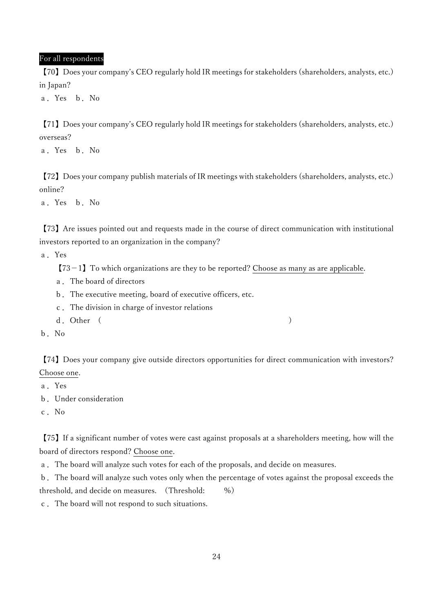#### For all respondents

【70】Does your company's CEO regularly hold IR meetings for stakeholders (shareholders, analysts, etc.) in Japan?

a.Yes b.No

【71】Does your company's CEO regularly hold IR meetings for stakeholders (shareholders, analysts, etc.) overseas?

a.Yes b.No

【72】Does your company publish materials of IR meetings with stakeholders (shareholders, analysts, etc.) online?

a.Yes b.No

【73】Are issues pointed out and requests made in the course of direct communication with institutional investors reported to an organization in the company?

a.Yes

 $[73-1]$  To which organizations are they to be reported? Choose as many as are applicable.

- a.The board of directors
- b.The executive meeting, board of executive officers, etc.
- c.The division in charge of investor relations
- d. Other ( )
- b.No

【74】Does your company give outside directors opportunities for direct communication with investors? Choose one.

a.Yes

b.Under consideration

c.No

【75】If a significant number of votes were cast against proposals at a shareholders meeting, how will the board of directors respond? Choose one.

a.The board will analyze such votes for each of the proposals, and decide on measures.

b.The board will analyze such votes only when the percentage of votes against the proposal exceeds the threshold, and decide on measures. (Threshold: %)

c.The board will not respond to such situations.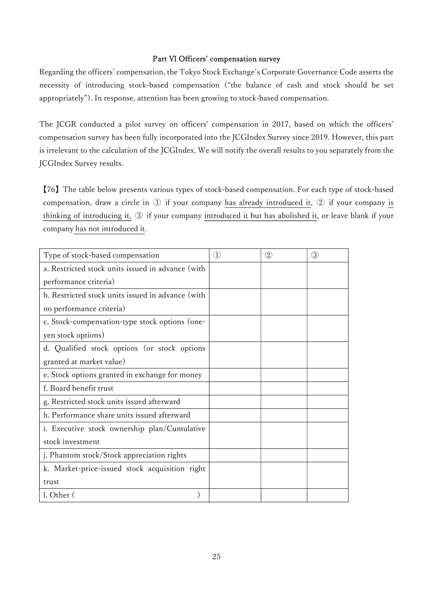#### Part Ⅵ Officers' compensation survey

Regarding the officers' compensation, the Tokyo Stock Exchange's Corporate Governance Code asserts the necessity of introducing stock-based compensation ("the balance of cash and stock should be set appropriately"). In response, attention has been growing to stock-based compensation.

The JCGR conducted a pilot survey on officers' compensation in 2017, based on which the officers' compensation survey has been fully incorporated into the JCGIndex Survey since 2019. However, this part is irrelevant to the calculation of the JCGIndex. We will notify the overall results to you separately from the JCGIndex Survey results.

【76】The table below presents various types of stock-based compensation. For each type of stock-based compensation, draw a circle in ① if your company has already introduced it, ② if your company is thinking of introducing it, ③ if your company introduced it but has abolished it, or leave blank if your company has not introduced it.

| Type of stock-based compensation                  | $\textcircled{1}$ | $^{\small{\textcircled{\small{2}}}}$ | $\circled{3}$ |
|---------------------------------------------------|-------------------|--------------------------------------|---------------|
| a. Restricted stock units issued in advance (with |                   |                                      |               |
| performance criteria)                             |                   |                                      |               |
| b. Restricted stock units issued in advance (with |                   |                                      |               |
| no performance criteria)                          |                   |                                      |               |
| c. Stock-compensation-type stock options (one-    |                   |                                      |               |
| yen stock options)                                |                   |                                      |               |
| d. Qualified stock options (or stock options      |                   |                                      |               |
| granted at market value)                          |                   |                                      |               |
| e. Stock options granted in exchange for money    |                   |                                      |               |
| f. Board benefit trust                            |                   |                                      |               |
| g. Restricted stock units issued afterward        |                   |                                      |               |
| h. Performance share units issued afterward       |                   |                                      |               |
| i. Executive stock ownership plan/Cumulative      |                   |                                      |               |
| stock investment                                  |                   |                                      |               |
| j. Phantom stock/Stock appreciation rights        |                   |                                      |               |
| k. Market-price-issued stock acquisition right    |                   |                                      |               |
| trust                                             |                   |                                      |               |
| l. Other (                                        |                   |                                      |               |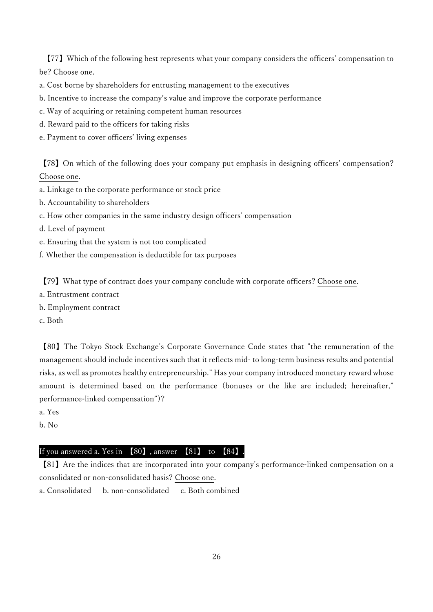【77】Which of the following best represents what your company considers the officers' compensation to be? Choose one.

a. Cost borne by shareholders for entrusting management to the executives

- b. Incentive to increase the company's value and improve the corporate performance
- c. Way of acquiring or retaining competent human resources
- d. Reward paid to the officers for taking risks
- e. Payment to cover officers' living expenses

【78】On which of the following does your company put emphasis in designing officers' compensation? Choose one.

- a. Linkage to the corporate performance or stock price
- b. Accountability to shareholders
- c. How other companies in the same industry design officers' compensation
- d. Level of payment
- e. Ensuring that the system is not too complicated
- f. Whether the compensation is deductible for tax purposes

【79】What type of contract does your company conclude with corporate officers? Choose one.

- a. Entrustment contract
- b. Employment contract
- c. Both

【80】The Tokyo Stock Exchange's Corporate Governance Code states that "the remuneration of the management should include incentives such that it reflects mid- to long-term business results and potential risks, as well as promotes healthy entrepreneurship." Has your company introduced monetary reward whose amount is determined based on the performance (bonuses or the like are included; hereinafter," performance-linked compensation")?

- a. Yes
- b. No

## If you answered a. Yes in  $[80]$ , answer  $[81]$  to  $[84]$ .

【81】Are the indices that are incorporated into your company's performance-linked compensation on a consolidated or non-consolidated basis? Choose one.

a. Consolidated b. non-consolidated c. Both combined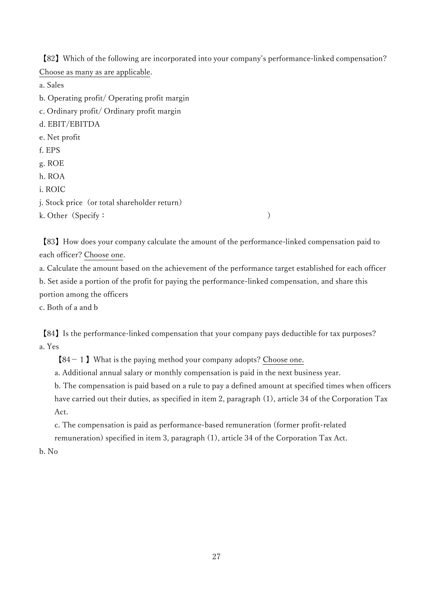【82】Which of the following are incorporated into your company's performance-linked compensation? Choose as many as are applicable.

a. Sales

b. Operating profit/ Operating profit margin

c. Ordinary profit/ Ordinary profit margin

d. EBIT/EBITDA

- e. Net profit
- f. EPS
- g. ROE
- h. ROA

i. ROIC

j. Stock price (or total shareholder return)

k. Other (Specify: )

【83】How does your company calculate the amount of the performance-linked compensation paid to each officer? Choose one.

a. Calculate the amount based on the achievement of the performance target established for each officer

b. Set aside a portion of the profit for paying the performance-linked compensation, and share this portion among the officers

c. Both of a and b

【84】Is the performance-linked compensation that your company pays deductible for tax purposes? a. Yes

 $[84-1]$  What is the paying method your company adopts? Choose one.

a. Additional annual salary or monthly compensation is paid in the next business year.

b. The compensation is paid based on a rule to pay a defined amount at specified times when officers have carried out their duties, as specified in item 2, paragraph (1), article 34 of the Corporation Tax Act.

c. The compensation is paid as performance-based remuneration (former profit-related remuneration) specified in item 3, paragraph (1), article 34 of the Corporation Tax Act.

b. No